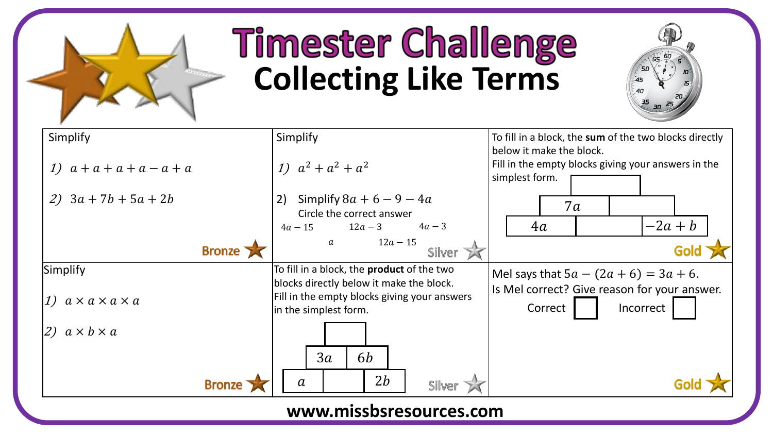

## **Timester Challenge Collecting Like Terms**